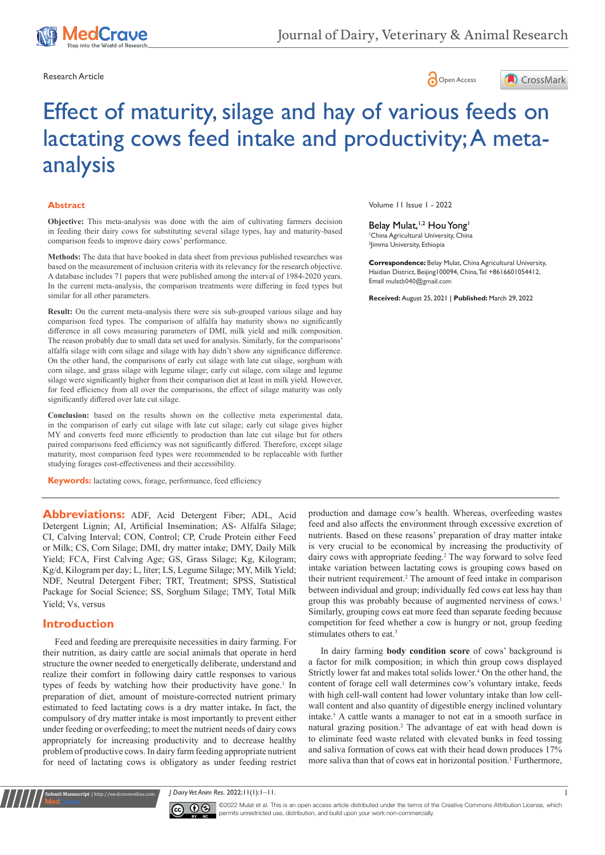





#### **Abstract**

**Objective:** This meta-analysis was done with the aim of cultivating farmers decision in feeding their dairy cows for substituting several silage types, hay and maturity-based comparison feeds to improve dairy cows' performance.

**Methods:** The data that have booked in data sheet from previous published researches was based on the measurement of inclusion criteria with its relevancy for the research objective. A database includes 71 papers that were published among the interval of 1984-2020 years. In the current meta-analysis, the comparison treatments were differing in feed types but similar for all other parameters.

**Result:** On the current meta-analysis there were six sub-grouped various silage and hay comparison feed types. The comparison of alfalfa hay maturity shows no significantly difference in all cows measuring parameters of DMI, milk yield and milk composition. The reason probably due to small data set used for analysis. Similarly, for the comparisons' alfalfa silage with corn silage and silage with hay didn't show any significance difference. On the other hand, the comparisons of early cut silage with late cut silage, sorghum with corn silage, and grass silage with legume silage; early cut silage, corn silage and legume silage were significantly higher from their comparison diet at least in milk yield. However, for feed efficiency from all over the comparisons, the effect of silage maturity was only significantly differed over late cut silage.

**Conclusion:** based on the results shown on the collective meta experimental data, in the comparison of early cut silage with late cut silage; early cut silage gives higher MY and converts feed more efficiently to production than late cut silage but for others paired comparisons feed efficiency was not significantly differed. Therefore, except silage maturity, most comparison feed types were recommended to be replaceable with further studying forages cost-effectiveness and their accessibility.

**Keywords:** lactating cows, forage, performance, feed efficiency

**Abbreviations:** ADF, Acid Detergent Fiber; ADL, Acid Detergent Lignin; AI, Artificial Insemination; AS- Alfalfa Silage; CI, Calving Interval; CON, Control; CP, Crude Protein either Feed or Milk; CS, Corn Silage; DMI, dry matter intake; DMY, Daily Milk Yield; FCA, First Calving Age; GS, Grass Silage; Kg, Kilogram; Kg/d, Kilogram per day; L, liter; LS, Legume Silage; MY, Milk Yield; NDF, Neutral Detergent Fiber; TRT, Treatment; SPSS, Statistical Package for Social Science; SS, Sorghum Silage; TMY, Total Milk Yield; Vs, versus

#### **Introduction**

**it Manuscript** | http://medcraveonline.com

Feed and feeding are prerequisite necessities in dairy farming. For their nutrition, as dairy cattle are social animals that operate in herd structure the owner needed to energetically deliberate, understand and realize their comfort in following dairy cattle responses to various types of feeds by watching how their productivity have gone.<sup>1</sup> In preparation of diet, amount of moisture-corrected nutrient primary estimated to feed lactating cows is a dry matter intake**.** In fact, the compulsory of dry matter intake is most importantly to prevent either under feeding or overfeeding; to meet the nutrient needs of dairy cows appropriately for increasing productivity and to decrease healthy problem of productive cows. In dairy farm feeding appropriate nutrient for need of lactating cows is obligatory as under feeding restrict Volume 11 Issue 1 - 2022

#### Belay Mulat,<sup>1,2</sup> Hou Yong<sup>1</sup>

1 China Agricultural University, China 2 Jimma University, Ethiopia

**Correspondence:** Belay Mulat, China Agricultural University, Haidian District, Beijing100094, China, Tel +8616601054412, Email mulatb040@gmail.com

**Received:** August 25, 2021 | **Published:** March 29, 2022

production and damage cow's health. Whereas, overfeeding wastes feed and also affects the environment through excessive excretion of nutrients. Based on these reasons' preparation of dray matter intake is very crucial to be economical by increasing the productivity of dairy cows with appropriate feeding.<sup>2</sup> The way forward to solve feed intake variation between lactating cows is grouping cows based on their nutrient requirement.<sup>2</sup> The amount of feed intake in comparison between individual and group; individually fed cows eat less hay than group this was probably because of augmented nerviness of cows.<sup>1</sup> Similarly, grouping cows eat more feed than separate feeding because competition for feed whether a cow is hungry or not, group feeding stimulates others to eat.<sup>3</sup>

In dairy farming **body condition score** of cows' background is a factor for milk composition; in which thin group cows displayed Strictly lower fat and makes total solids lower.<sup>4</sup> On the other hand, the content of forage cell wall determines cow's voluntary intake, feeds with high cell-wall content had lower voluntary intake than low cellwall content and also quantity of digestible energy inclined voluntary intake.<sup>5</sup> A cattle wants a manager to not eat in a smooth surface in natural grazing position.<sup>2</sup> The advantage of eat with head down is to eliminate feed waste related with elevated bunks in feed tossing and saliva formation of cows eat with their head down produces 17% more saliva than that of cows eat in horizontal position.<sup>1</sup> Furthermore,

*J* Dairy Vet Anim Res. 2022;11(1):1–11. 1



 $\boxed{\mathbf{c}}$   $\boxed{\mathbf{c}}$   $\boxed{\mathbf{c}}$   $\boxed{\mathbf{c}}$   $\boxed{\mathbf{c}}$  Mulat et al. This is an open access article distributed under the terms of the [Creative Commons Attribution License](https://creativecommons.org/licenses/by-nc/4.0/), which permits unrestricted use, distribution, and build upon your work non-commercially.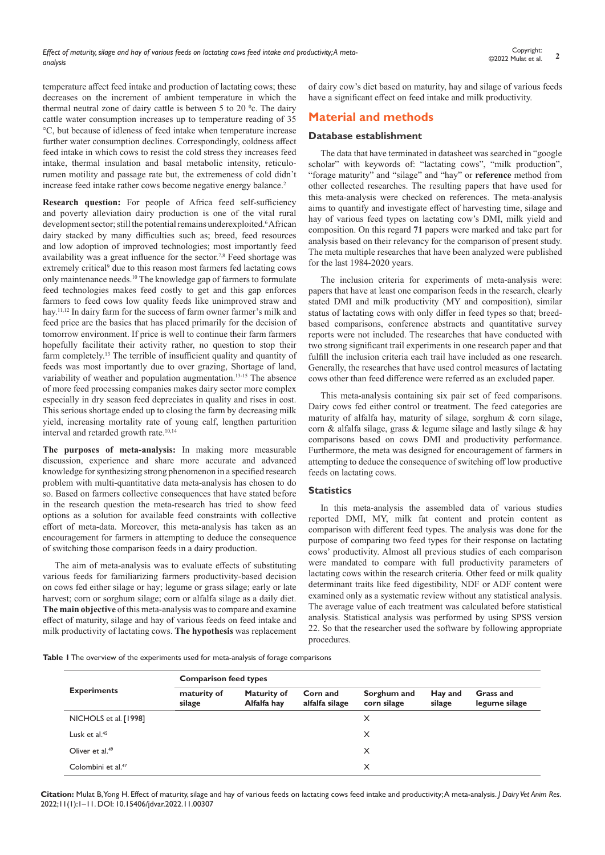temperature affect feed intake and production of lactating cows; these decreases on the increment of ambient temperature in which the thermal neutral zone of dairy cattle is between 5 to 20 $^{\circ}$ c. The dairy cattle water consumption increases up to temperature reading of 35 °C, but because of idleness of feed intake when temperature increase further water consumption declines. Correspondingly, coldness affect feed intake in which cows to resist the cold stress they increases feed intake, thermal insulation and basal metabolic intensity, reticulorumen motility and passage rate but, the extremeness of cold didn't increase feed intake rather cows become negative energy balance.<sup>2</sup>

**Research question:** For people of Africa feed self-sufficiency and poverty alleviation dairy production is one of the vital rural development sector; still the potential remains underexploited.<sup>6</sup> African dairy stacked by many difficulties such as; breed, feed resources and low adoption of improved technologies; most importantly feed availability was a great influence for the sector.<sup>7,8</sup> Feed shortage was extremely critical<sup>9</sup> due to this reason most farmers fed lactating cows only maintenance needs.10 The knowledge gap of farmers to formulate feed technologies makes feed costly to get and this gap enforces farmers to feed cows low quality feeds like unimproved straw and hay.11,12 In dairy farm for the success of farm owner farmer's milk and feed price are the basics that has placed primarily for the decision of tomorrow environment. If price is well to continue their farm farmers hopefully facilitate their activity rather, no question to stop their farm completely.<sup>13</sup> The terrible of insufficient quality and quantity of feeds was most importantly due to over grazing, Shortage of land, variability of weather and population augmentation.<sup>13-15</sup> The absence of more feed processing companies makes dairy sector more complex especially in dry season feed depreciates in quality and rises in cost. This serious shortage ended up to closing the farm by decreasing milk yield, increasing mortality rate of young calf, lengthen parturition interval and retarded growth rate.10,14

**The purposes of meta-analysis:** In making more measurable discussion, experience and share more accurate and advanced knowledge for synthesizing strong phenomenon in a specified research problem with multi-quantitative data meta-analysis has chosen to do so. Based on farmers collective consequences that have stated before in the research question the meta-research has tried to show feed options as a solution for available feed constraints with collective effort of meta-data. Moreover, this meta-analysis has taken as an encouragement for farmers in attempting to deduce the consequence of switching those comparison feeds in a dairy production.

The aim of meta-analysis was to evaluate effects of substituting various feeds for familiarizing farmers productivity-based decision on cows fed either silage or hay; legume or grass silage; early or late harvest; corn or sorghum silage; corn or alfalfa silage as a daily diet. **The main objective** of this meta-analysis was to compare and examine effect of maturity, silage and hay of various feeds on feed intake and milk productivity of lactating cows. **The hypothesis** was replacement of dairy cow's diet based on maturity, hay and silage of various feeds have a significant effect on feed intake and milk productivity.

# **Material and methods**

### **Database establishment**

The data that have terminated in datasheet was searched in "google scholar" with keywords of: "lactating cows", "milk production", "forage maturity" and "silage" and "hay" or **reference** method from other collected researches. The resulting papers that have used for this meta-analysis were checked on references. The meta-analysis aims to quantify and investigate effect of harvesting time, silage and hay of various feed types on lactating cow's DMI, milk yield and composition. On this regard **71** papers were marked and take part for analysis based on their relevancy for the comparison of present study. The meta multiple researches that have been analyzed were published for the last 1984-2020 years.

The inclusion criteria for experiments of meta-analysis were: papers that have at least one comparison feeds in the research, clearly stated DMI and milk productivity (MY and composition), similar status of lactating cows with only differ in feed types so that; breedbased comparisons, conference abstracts and quantitative survey reports were not included. The researches that have conducted with two strong significant trail experiments in one research paper and that fulfill the inclusion criteria each trail have included as one research. Generally, the researches that have used control measures of lactating cows other than feed difference were referred as an excluded paper.

This meta-analysis containing six pair set of feed comparisons. Dairy cows fed either control or treatment. The feed categories are maturity of alfalfa hay, maturity of silage, sorghum & corn silage, corn & alfalfa silage, grass & legume silage and lastly silage & hay comparisons based on cows DMI and productivity performance. Furthermore, the meta was designed for encouragement of farmers in attempting to deduce the consequence of switching off low productive feeds on lactating cows.

## **Statistics**

In this meta-analysis the assembled data of various studies reported DMI, MY, milk fat content and protein content as comparison with different feed types. The analysis was done for the purpose of comparing two feed types for their response on lactating cows' productivity. Almost all previous studies of each comparison were mandated to compare with full productivity parameters of lactating cows within the research criteria. Other feed or milk quality determinant traits like feed digestibility, NDF or ADF content were examined only as a systematic review without any statistical analysis. The average value of each treatment was calculated before statistical analysis. Statistical analysis was performed by using SPSS version 22. So that the researcher used the software by following appropriate procedures.

**Table 1** The overview of the experiments used for meta-analysis of forage comparisons

|                                | <b>Comparison feed types</b> |                            |                            |                            |                   |                            |  |  |  |  |  |
|--------------------------------|------------------------------|----------------------------|----------------------------|----------------------------|-------------------|----------------------------|--|--|--|--|--|
| <b>Experiments</b>             | maturity of<br>silage        | Maturity of<br>Alfalfa hay | Corn and<br>alfalfa silage | Sorghum and<br>corn silage | Hay and<br>silage | Grass and<br>legume silage |  |  |  |  |  |
| NICHOLS et al. [1998]          |                              |                            |                            | X                          |                   |                            |  |  |  |  |  |
| Lusk et al. <sup>45</sup>      |                              |                            |                            | X                          |                   |                            |  |  |  |  |  |
| Oliver et al. <sup>49</sup>    |                              |                            |                            | X                          |                   |                            |  |  |  |  |  |
| Colombini et al. <sup>47</sup> |                              |                            |                            | X                          |                   |                            |  |  |  |  |  |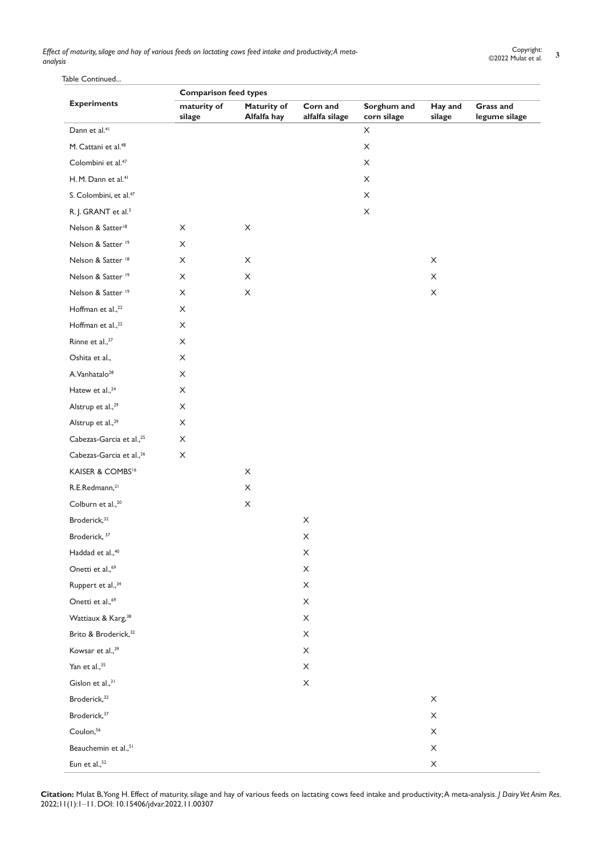# Table Continued...

| <b>Experiments</b><br>Dann et al. <sup>41</sup><br>M. Cattani et al. <sup>48</sup><br>Colombini et al. <sup>47</sup><br>H. M. Dann et al. <sup>41</sup><br>S. Colombini, et al. <sup>47</sup><br>R. J. GRANT et al. <sup>3</sup><br>Nelson & Satter <sup>18</sup><br>Nelson & Satter <sup>19</sup><br>Nelson & Satter <sup>18</sup><br>Nelson & Satter <sup>19</sup><br>Nelson & Satter <sup>19</sup><br>Hoffman et al., <sup>22</sup><br>Hoffman et al., <sup>22</sup><br>Rinne et al., <sup>27</sup><br>Oshita et al.,<br>A.Vanhatalo <sup>28</sup><br>Hatew et al., <sup>24</sup><br>Alstrup et al., <sup>29</sup><br>Alstrup et al., <sup>29</sup><br>Cabezas-Garcia et al., <sup>25</sup><br>Cabezas-Garcia et al., <sup>26</sup><br>KAISER & COMBS <sup>16</sup><br>R.E.Redmann, <sup>21</sup><br>Colburn et al., <sup>20</sup><br>Broderick, <sup>32</sup><br>Broderick, 37<br>Haddad et al., <sup>40</sup><br>Onetti et al., <sup>69</sup><br>Ruppert et al., 34<br>Onetti et al., <sup>69</sup><br>Wattiaux & Karg, <sup>38</sup><br>Brito & Broderick, <sup>32</sup><br>Kowsar et al., <sup>39</sup><br>Yan et al., <sup>35</sup><br>Gislon et al., $31$ |                           | <b>Comparison feed types</b> |                            |                            |                           |                                   |  |
|--------------------------------------------------------------------------------------------------------------------------------------------------------------------------------------------------------------------------------------------------------------------------------------------------------------------------------------------------------------------------------------------------------------------------------------------------------------------------------------------------------------------------------------------------------------------------------------------------------------------------------------------------------------------------------------------------------------------------------------------------------------------------------------------------------------------------------------------------------------------------------------------------------------------------------------------------------------------------------------------------------------------------------------------------------------------------------------------------------------------------------------------------------------------|---------------------------|------------------------------|----------------------------|----------------------------|---------------------------|-----------------------------------|--|
|                                                                                                                                                                                                                                                                                                                                                                                                                                                                                                                                                                                                                                                                                                                                                                                                                                                                                                                                                                                                                                                                                                                                                                    | maturity of<br>silage     | Maturity of<br>Alfalfa hay   | Corn and<br>alfalfa silage | Sorghum and<br>corn silage | Hay and<br>silage         | <b>Grass and</b><br>legume silage |  |
|                                                                                                                                                                                                                                                                                                                                                                                                                                                                                                                                                                                                                                                                                                                                                                                                                                                                                                                                                                                                                                                                                                                                                                    |                           |                              |                            | X                          |                           |                                   |  |
|                                                                                                                                                                                                                                                                                                                                                                                                                                                                                                                                                                                                                                                                                                                                                                                                                                                                                                                                                                                                                                                                                                                                                                    |                           |                              |                            | X                          |                           |                                   |  |
|                                                                                                                                                                                                                                                                                                                                                                                                                                                                                                                                                                                                                                                                                                                                                                                                                                                                                                                                                                                                                                                                                                                                                                    |                           |                              |                            | $\mathsf X$                |                           |                                   |  |
|                                                                                                                                                                                                                                                                                                                                                                                                                                                                                                                                                                                                                                                                                                                                                                                                                                                                                                                                                                                                                                                                                                                                                                    |                           |                              |                            | X                          |                           |                                   |  |
|                                                                                                                                                                                                                                                                                                                                                                                                                                                                                                                                                                                                                                                                                                                                                                                                                                                                                                                                                                                                                                                                                                                                                                    |                           |                              |                            | X                          |                           |                                   |  |
|                                                                                                                                                                                                                                                                                                                                                                                                                                                                                                                                                                                                                                                                                                                                                                                                                                                                                                                                                                                                                                                                                                                                                                    |                           |                              |                            | $\boldsymbol{\mathsf{X}}$  |                           |                                   |  |
|                                                                                                                                                                                                                                                                                                                                                                                                                                                                                                                                                                                                                                                                                                                                                                                                                                                                                                                                                                                                                                                                                                                                                                    | X                         | $\boldsymbol{\mathsf{X}}$    |                            |                            |                           |                                   |  |
|                                                                                                                                                                                                                                                                                                                                                                                                                                                                                                                                                                                                                                                                                                                                                                                                                                                                                                                                                                                                                                                                                                                                                                    | X                         |                              |                            |                            |                           |                                   |  |
|                                                                                                                                                                                                                                                                                                                                                                                                                                                                                                                                                                                                                                                                                                                                                                                                                                                                                                                                                                                                                                                                                                                                                                    | X                         | X                            |                            |                            | X                         |                                   |  |
|                                                                                                                                                                                                                                                                                                                                                                                                                                                                                                                                                                                                                                                                                                                                                                                                                                                                                                                                                                                                                                                                                                                                                                    | X                         | X                            |                            |                            | $\boldsymbol{\mathsf{X}}$ |                                   |  |
|                                                                                                                                                                                                                                                                                                                                                                                                                                                                                                                                                                                                                                                                                                                                                                                                                                                                                                                                                                                                                                                                                                                                                                    | X                         | $\mathsf X$                  |                            |                            | X                         |                                   |  |
|                                                                                                                                                                                                                                                                                                                                                                                                                                                                                                                                                                                                                                                                                                                                                                                                                                                                                                                                                                                                                                                                                                                                                                    | $\boldsymbol{\mathsf{X}}$ |                              |                            |                            |                           |                                   |  |
|                                                                                                                                                                                                                                                                                                                                                                                                                                                                                                                                                                                                                                                                                                                                                                                                                                                                                                                                                                                                                                                                                                                                                                    | $\boldsymbol{\mathsf{X}}$ |                              |                            |                            |                           |                                   |  |
|                                                                                                                                                                                                                                                                                                                                                                                                                                                                                                                                                                                                                                                                                                                                                                                                                                                                                                                                                                                                                                                                                                                                                                    | $\boldsymbol{\mathsf{X}}$ |                              |                            |                            |                           |                                   |  |
|                                                                                                                                                                                                                                                                                                                                                                                                                                                                                                                                                                                                                                                                                                                                                                                                                                                                                                                                                                                                                                                                                                                                                                    | X                         |                              |                            |                            |                           |                                   |  |
|                                                                                                                                                                                                                                                                                                                                                                                                                                                                                                                                                                                                                                                                                                                                                                                                                                                                                                                                                                                                                                                                                                                                                                    | X                         |                              |                            |                            |                           |                                   |  |
|                                                                                                                                                                                                                                                                                                                                                                                                                                                                                                                                                                                                                                                                                                                                                                                                                                                                                                                                                                                                                                                                                                                                                                    | X                         |                              |                            |                            |                           |                                   |  |
|                                                                                                                                                                                                                                                                                                                                                                                                                                                                                                                                                                                                                                                                                                                                                                                                                                                                                                                                                                                                                                                                                                                                                                    | X                         |                              |                            |                            |                           |                                   |  |
|                                                                                                                                                                                                                                                                                                                                                                                                                                                                                                                                                                                                                                                                                                                                                                                                                                                                                                                                                                                                                                                                                                                                                                    | X                         |                              |                            |                            |                           |                                   |  |
|                                                                                                                                                                                                                                                                                                                                                                                                                                                                                                                                                                                                                                                                                                                                                                                                                                                                                                                                                                                                                                                                                                                                                                    | X                         |                              |                            |                            |                           |                                   |  |
|                                                                                                                                                                                                                                                                                                                                                                                                                                                                                                                                                                                                                                                                                                                                                                                                                                                                                                                                                                                                                                                                                                                                                                    | $\boldsymbol{\mathsf{X}}$ |                              |                            |                            |                           |                                   |  |
|                                                                                                                                                                                                                                                                                                                                                                                                                                                                                                                                                                                                                                                                                                                                                                                                                                                                                                                                                                                                                                                                                                                                                                    |                           | $\boldsymbol{\mathsf{X}}$    |                            |                            |                           |                                   |  |
|                                                                                                                                                                                                                                                                                                                                                                                                                                                                                                                                                                                                                                                                                                                                                                                                                                                                                                                                                                                                                                                                                                                                                                    |                           | X                            |                            |                            |                           |                                   |  |
|                                                                                                                                                                                                                                                                                                                                                                                                                                                                                                                                                                                                                                                                                                                                                                                                                                                                                                                                                                                                                                                                                                                                                                    |                           | $\mathsf X$                  |                            |                            |                           |                                   |  |
|                                                                                                                                                                                                                                                                                                                                                                                                                                                                                                                                                                                                                                                                                                                                                                                                                                                                                                                                                                                                                                                                                                                                                                    |                           |                              | $\boldsymbol{\mathsf{X}}$  |                            |                           |                                   |  |
|                                                                                                                                                                                                                                                                                                                                                                                                                                                                                                                                                                                                                                                                                                                                                                                                                                                                                                                                                                                                                                                                                                                                                                    |                           |                              | $\boldsymbol{\mathsf{X}}$  |                            |                           |                                   |  |
|                                                                                                                                                                                                                                                                                                                                                                                                                                                                                                                                                                                                                                                                                                                                                                                                                                                                                                                                                                                                                                                                                                                                                                    |                           |                              | $\boldsymbol{\times}$      |                            |                           |                                   |  |
|                                                                                                                                                                                                                                                                                                                                                                                                                                                                                                                                                                                                                                                                                                                                                                                                                                                                                                                                                                                                                                                                                                                                                                    |                           |                              | $\mathsf X$                |                            |                           |                                   |  |
|                                                                                                                                                                                                                                                                                                                                                                                                                                                                                                                                                                                                                                                                                                                                                                                                                                                                                                                                                                                                                                                                                                                                                                    |                           |                              | $\boldsymbol{\times}$      |                            |                           |                                   |  |
|                                                                                                                                                                                                                                                                                                                                                                                                                                                                                                                                                                                                                                                                                                                                                                                                                                                                                                                                                                                                                                                                                                                                                                    |                           |                              | X                          |                            |                           |                                   |  |
|                                                                                                                                                                                                                                                                                                                                                                                                                                                                                                                                                                                                                                                                                                                                                                                                                                                                                                                                                                                                                                                                                                                                                                    |                           |                              | $\boldsymbol{\mathsf{X}}$  |                            |                           |                                   |  |
|                                                                                                                                                                                                                                                                                                                                                                                                                                                                                                                                                                                                                                                                                                                                                                                                                                                                                                                                                                                                                                                                                                                                                                    |                           |                              | $\boldsymbol{\mathsf{X}}$  |                            |                           |                                   |  |
|                                                                                                                                                                                                                                                                                                                                                                                                                                                                                                                                                                                                                                                                                                                                                                                                                                                                                                                                                                                                                                                                                                                                                                    |                           |                              | X                          |                            |                           |                                   |  |
|                                                                                                                                                                                                                                                                                                                                                                                                                                                                                                                                                                                                                                                                                                                                                                                                                                                                                                                                                                                                                                                                                                                                                                    |                           |                              | $\boldsymbol{\mathsf{X}}$  |                            |                           |                                   |  |
|                                                                                                                                                                                                                                                                                                                                                                                                                                                                                                                                                                                                                                                                                                                                                                                                                                                                                                                                                                                                                                                                                                                                                                    |                           |                              | X                          |                            |                           |                                   |  |
| Broderick, <sup>32</sup>                                                                                                                                                                                                                                                                                                                                                                                                                                                                                                                                                                                                                                                                                                                                                                                                                                                                                                                                                                                                                                                                                                                                           |                           |                              |                            |                            | $\boldsymbol{\times}$     |                                   |  |
| Broderick, <sup>37</sup>                                                                                                                                                                                                                                                                                                                                                                                                                                                                                                                                                                                                                                                                                                                                                                                                                                                                                                                                                                                                                                                                                                                                           |                           |                              |                            |                            | $\mathsf X$               |                                   |  |
| Coulon, <sup>56</sup>                                                                                                                                                                                                                                                                                                                                                                                                                                                                                                                                                                                                                                                                                                                                                                                                                                                                                                                                                                                                                                                                                                                                              |                           |                              |                            |                            | X                         |                                   |  |
| Beauchemin et al., <sup>51</sup>                                                                                                                                                                                                                                                                                                                                                                                                                                                                                                                                                                                                                                                                                                                                                                                                                                                                                                                                                                                                                                                                                                                                   |                           |                              |                            |                            | $\mathsf X$               |                                   |  |
| Eun et al., <sup>52</sup>                                                                                                                                                                                                                                                                                                                                                                                                                                                                                                                                                                                                                                                                                                                                                                                                                                                                                                                                                                                                                                                                                                                                          |                           |                              |                            |                            | $\boldsymbol{\times}$     |                                   |  |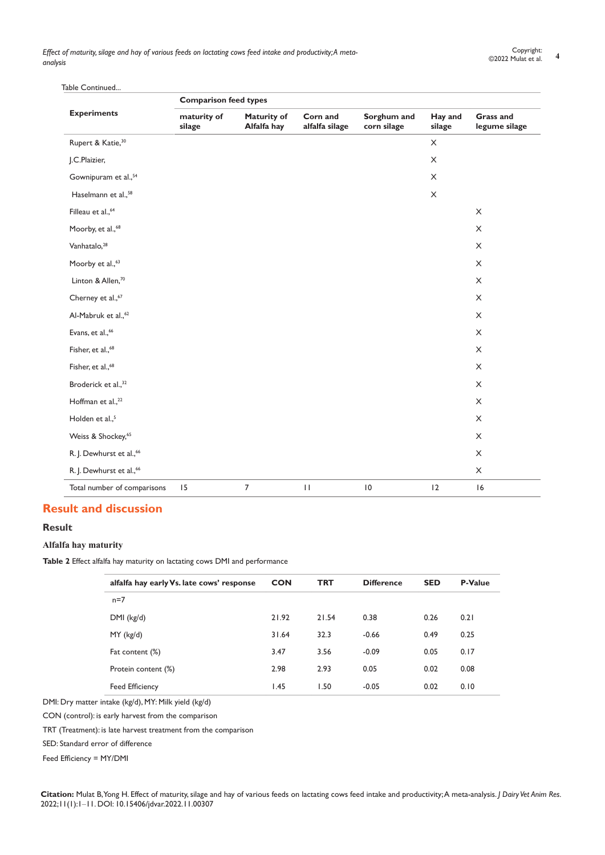Table Continued.

|                                      | <b>Comparison feed types</b> |                                   |                            |                            |                   |                                   |  |  |  |  |
|--------------------------------------|------------------------------|-----------------------------------|----------------------------|----------------------------|-------------------|-----------------------------------|--|--|--|--|
| <b>Experiments</b>                   | maturity of<br>silage        | <b>Maturity of</b><br>Alfalfa hay | Corn and<br>alfalfa silage | Sorghum and<br>corn silage | Hay and<br>silage | <b>Grass and</b><br>legume silage |  |  |  |  |
| Rupert & Katie, <sup>30</sup>        |                              |                                   |                            |                            | X                 |                                   |  |  |  |  |
| J.C.Plaizier,                        |                              |                                   |                            |                            | $\mathsf X$       |                                   |  |  |  |  |
| Gownipuram et al., <sup>54</sup>     |                              |                                   |                            |                            | X                 |                                   |  |  |  |  |
| Haselmann et al., <sup>58</sup>      |                              |                                   |                            |                            | $\mathsf X$       |                                   |  |  |  |  |
| Filleau et al., <sup>64</sup>        |                              |                                   |                            |                            |                   | $\times$                          |  |  |  |  |
| Moorby, et al., <sup>68</sup>        |                              |                                   |                            |                            |                   | $\times$                          |  |  |  |  |
| Vanhatalo, <sup>28</sup>             |                              |                                   |                            |                            |                   | $\times$                          |  |  |  |  |
| Moorby et al., <sup>63</sup>         |                              |                                   |                            |                            |                   | $\times$                          |  |  |  |  |
| Linton & Allen, <sup>70</sup>        |                              |                                   |                            |                            |                   | $\times$                          |  |  |  |  |
| Cherney et al., <sup>67</sup>        |                              |                                   |                            |                            |                   | $\times$                          |  |  |  |  |
| Al-Mabruk et al., <sup>62</sup>      |                              |                                   |                            |                            |                   | $\times$                          |  |  |  |  |
| Evans, et al., <sup>66</sup>         |                              |                                   |                            |                            |                   | $\times$                          |  |  |  |  |
| Fisher, et al., <sup>68</sup>        |                              |                                   |                            |                            |                   | $\times$                          |  |  |  |  |
| Fisher, et al., <sup>68</sup>        |                              |                                   |                            |                            |                   | $\times$                          |  |  |  |  |
| Broderick et al., <sup>32</sup>      |                              |                                   |                            |                            |                   | $\times$                          |  |  |  |  |
| Hoffman et al., <sup>22</sup>        |                              |                                   |                            |                            |                   | $\mathsf X$                       |  |  |  |  |
| Holden et al., <sup>5</sup>          |                              |                                   |                            |                            |                   | $\times$                          |  |  |  |  |
| Weiss & Shockey, <sup>65</sup>       |                              |                                   |                            |                            |                   | $\mathsf X$                       |  |  |  |  |
| R. J. Dewhurst et al., <sup>66</sup> |                              |                                   |                            |                            |                   | $\mathsf X$                       |  |  |  |  |
| R. J. Dewhurst et al., <sup>66</sup> |                              |                                   |                            |                            |                   | X                                 |  |  |  |  |
| Total number of comparisons          | 15                           | $\overline{7}$                    | $\mathbf{H}$               | $\vert 0$                  | 2                 | 16                                |  |  |  |  |

# **Result and discussion**

# **Result**

# **Alfalfa hay maturity**

**Table 2** Effect alfalfa hay maturity on lactating cows DMI and performance

| alfalfa hay early Vs. late cows' response | <b>CON</b> | <b>TRT</b> | <b>Difference</b> | <b>SED</b> | <b>P-Value</b> |
|-------------------------------------------|------------|------------|-------------------|------------|----------------|
| $n=7$                                     |            |            |                   |            |                |
| DMI (kg/d)                                | 21.92      | 21.54      | 0.38              | 0.26       | 0.21           |
| $MY$ (kg/d)                               | 31.64      | 32.3       | $-0.66$           | 0.49       | 0.25           |
| Fat content (%)                           | 3.47       | 3.56       | $-0.09$           | 0.05       | 0.17           |
| Protein content (%)                       | 2.98       | 2.93       | 0.05              | 0.02       | 0.08           |
| <b>Feed Efficiency</b>                    | 1.45       | 1.50       | $-0.05$           | 0.02       | 0.10           |

DMI: Dry matter intake (kg/d), MY: Milk yield (kg/d)

CON (control): is early harvest from the comparison

TRT (Treatment): is late harvest treatment from the comparison

SED: Standard error of difference

Feed Efficiency = MY/DMI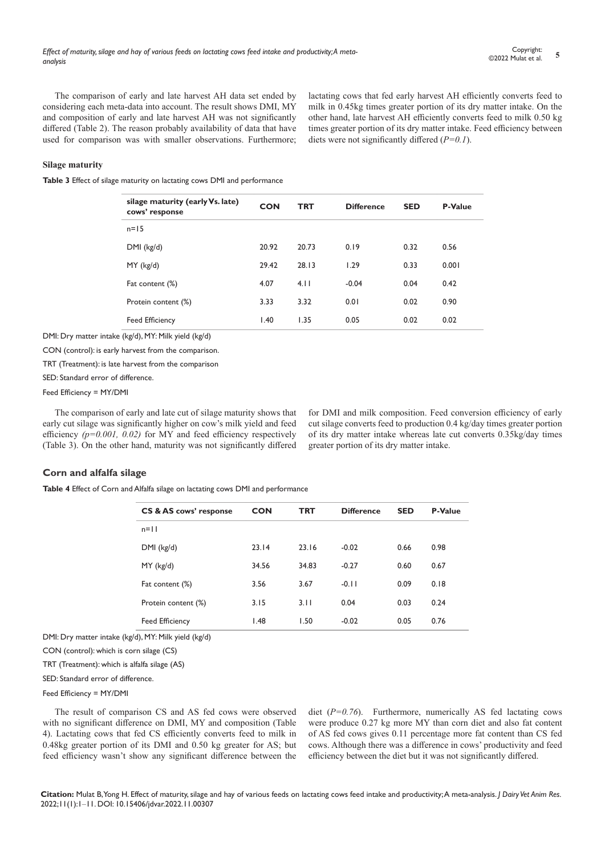The comparison of early and late harvest AH data set ended by considering each meta-data into account. The result shows DMI, MY and composition of early and late harvest AH was not significantly differed (Table 2). The reason probably availability of data that have used for comparison was with smaller observations. Furthermore; lactating cows that fed early harvest AH efficiently converts feed to milk in 0.45kg times greater portion of its dry matter intake. On the other hand, late harvest AH efficiently converts feed to milk 0.50 kg times greater portion of its dry matter intake. Feed efficiency between diets were not significantly differed (*P=0.1*).

#### **Silage maturity**

**Table 3** Effect of silage maturity on lactating cows DMI and performance

| silage maturity (early Vs. late)<br>cows' response | <b>CON</b> | <b>TRT</b> | <b>Difference</b> | <b>SED</b> | <b>P-Value</b> |
|----------------------------------------------------|------------|------------|-------------------|------------|----------------|
| $n = 15$                                           |            |            |                   |            |                |
| $DMI$ (kg/d)                                       | 20.92      | 20.73      | 0.19              | 0.32       | 0.56           |
| $MY$ (kg/d)                                        | 29.42      | 28.13      | 1.29              | 0.33       | 0.001          |
| Fat content (%)                                    | 4.07       | 4.11       | $-0.04$           | 0.04       | 0.42           |
| Protein content (%)                                | 3.33       | 3.32       | 0.01              | 0.02       | 0.90           |
| <b>Feed Efficiency</b>                             | 1.40       | 1.35       | 0.05              | 0.02       | 0.02           |

DMI: Dry matter intake (kg/d), MY: Milk yield (kg/d)

CON (control): is early harvest from the comparison.

TRT (Treatment): is late harvest from the comparison

SED: Standard error of difference.

Feed Efficiency = MY/DMI

The comparison of early and late cut of silage maturity shows that early cut silage was significantly higher on cow's milk yield and feed efficiency *(p=0.001, 0.02)* for MY and feed efficiency respectively (Table 3). On the other hand, maturity was not significantly differed

for DMI and milk composition. Feed conversion efficiency of early cut silage converts feed to production 0.4 kg/day times greater portion of its dry matter intake whereas late cut converts 0.35kg/day times greater portion of its dry matter intake.

#### **Corn and alfalfa silage**

**Table 4** Effect of Corn and Alfalfa silage on lactating cows DMI and performance

| <b>CS &amp; AS cows' response</b> | <b>CON</b> | <b>TRT</b> | <b>Difference</b> | <b>SED</b> | <b>P-Value</b> |
|-----------------------------------|------------|------------|-------------------|------------|----------------|
| $n=11$                            |            |            |                   |            |                |
| DMI (kg/d)                        | 23.14      | 23.16      | $-0.02$           | 0.66       | 0.98           |
| $MY$ (kg/d)                       | 34.56      | 34.83      | $-0.27$           | 0.60       | 0.67           |
| Fat content (%)                   | 3.56       | 3.67       | $-0.11$           | 0.09       | 0.18           |
| Protein content (%)               | 3.15       | 3.11       | 0.04              | 0.03       | 0.24           |
| <b>Feed Efficiency</b>            | 1.48       | 1.50       | $-0.02$           | 0.05       | 0.76           |

DMI: Dry matter intake (kg/d), MY: Milk yield (kg/d)

CON (control): which is corn silage (CS)

TRT (Treatment): which is alfalfa silage (AS)

SED: Standard error of difference.

#### Feed Efficiency = MY/DMI

The result of comparison CS and AS fed cows were observed with no significant difference on DMI, MY and composition (Table 4). Lactating cows that fed CS efficiently converts feed to milk in 0.48kg greater portion of its DMI and 0.50 kg greater for AS; but feed efficiency wasn't show any significant difference between the diet (*P=0.76*). Furthermore, numerically AS fed lactating cows were produce 0.27 kg more MY than corn diet and also fat content of AS fed cows gives 0.11 percentage more fat content than CS fed cows. Although there was a difference in cows' productivity and feed efficiency between the diet but it was not significantly differed.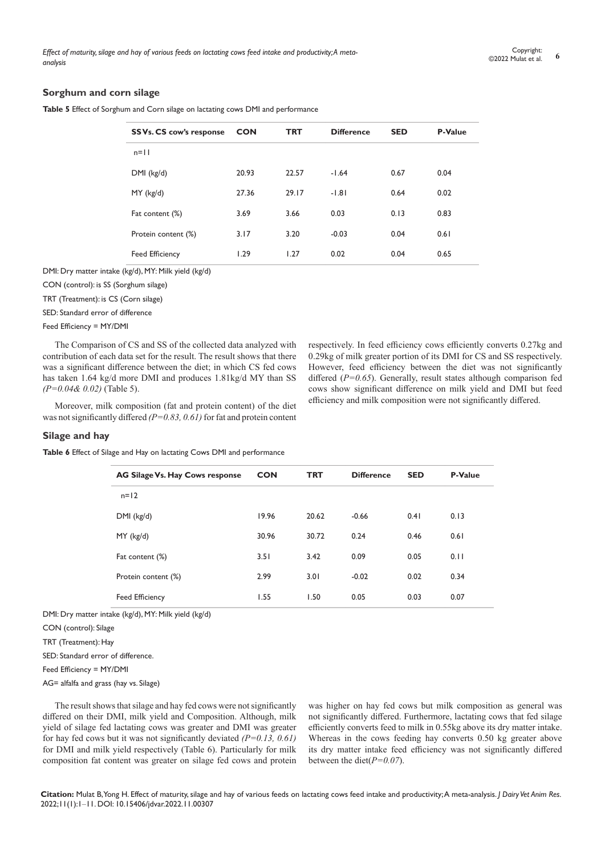#### **Sorghum and corn silage**

**Table 5** Effect of Sorghum and Corn silage on lactating cows DMI and performance

| SS Vs. CS cow's response | <b>CON</b> | <b>TRT</b> | <b>SED</b><br><b>Difference</b> |      | <b>P-Value</b> |
|--------------------------|------------|------------|---------------------------------|------|----------------|
| $n=11$                   |            |            |                                 |      |                |
| DMI (kg/d)               | 20.93      | 22.57      | $-1.64$                         | 0.67 | 0.04           |
| $MY$ (kg/d)              | 27.36      | 29.17      | $-1.81$                         | 0.64 | 0.02           |
| Fat content (%)          | 3.69       | 3.66       | 0.03                            | 0.13 | 0.83           |
| Protein content (%)      | 3.17       | 3.20       | $-0.03$                         | 0.04 | 0.61           |
| <b>Feed Efficiency</b>   | 1.29       | 1.27       | 0.02                            | 0.04 | 0.65           |

DMI: Dry matter intake (kg/d), MY: Milk yield (kg/d)

CON (control): is SS (Sorghum silage)

TRT (Treatment): is CS (Corn silage)

SED: Standard error of difference

Feed Efficiency = MY/DMI

The Comparison of CS and SS of the collected data analyzed with contribution of each data set for the result. The result shows that there was a significant difference between the diet; in which CS fed cows has taken 1.64 kg/d more DMI and produces 1.81kg/d MY than SS *(P=0.04& 0.02)* (Table 5).

Moreover, milk composition (fat and protein content) of the diet was not significantly differed *(P=0.83, 0.61)* for fat and protein content respectively. In feed efficiency cows efficiently converts 0.27kg and 0.29kg of milk greater portion of its DMI for CS and SS respectively. However, feed efficiency between the diet was not significantly differed (*P=0.65*). Generally, result states although comparison fed cows show significant difference on milk yield and DMI but feed efficiency and milk composition were not significantly differed.

#### **Silage and hay**

**Table 6** Effect of Silage and Hay on lactating Cows DMI and performance

| AG Silage Vs. Hay Cows response | <b>CON</b> | <b>TRT</b> | <b>Difference</b> | <b>SED</b> | P-Value |
|---------------------------------|------------|------------|-------------------|------------|---------|
| $n=12$                          |            |            |                   |            |         |
| $DMI$ (kg/d)                    | 19.96      | 20.62      | $-0.66$           | 0.41       | 0.13    |
| $MY$ (kg/d)                     | 30.96      | 30.72      | 0.24              | 0.46       | 0.61    |
| Fat content (%)                 | 3.51       | 3.42       | 0.09              | 0.05       | 0.11    |
| Protein content (%)             | 2.99       | 3.01       | $-0.02$           | 0.02       | 0.34    |
| <b>Feed Efficiency</b>          | 1.55       | 1.50       | 0.05              | 0.03       | 0.07    |
|                                 |            |            |                   |            |         |

DMI: Dry matter intake (kg/d), MY: Milk yield (kg/d)

CON (control): Silage

TRT (Treatment): Hay

SED: Standard error of difference.

Feed Efficiency = MY/DMI

AG= alfalfa and grass (hay vs. Silage)

The result shows that silage and hay fed cows were not significantly differed on their DMI, milk yield and Composition. Although, milk yield of silage fed lactating cows was greater and DMI was greater for hay fed cows but it was not significantly deviated *(P=0.13, 0.61)* for DMI and milk yield respectively (Table 6). Particularly for milk composition fat content was greater on silage fed cows and protein

was higher on hay fed cows but milk composition as general was not significantly differed. Furthermore, lactating cows that fed silage efficiently converts feed to milk in 0.55kg above its dry matter intake. Whereas in the cows feeding hay converts 0.50 kg greater above its dry matter intake feed efficiency was not significantly differed between the diet(*P=0.07*).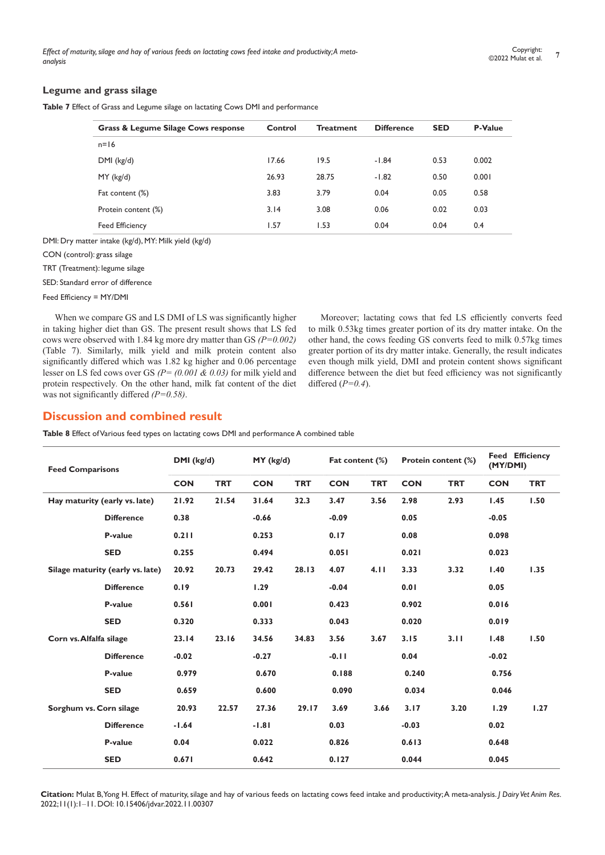#### **Legume and grass silage**

**Table 7** Effect of Grass and Legume silage on lactating Cows DMI and performance

| Grass & Legume Silage Cows response | Control | <b>Treatment</b> | <b>Difference</b> | <b>SED</b> | <b>P-Value</b> |
|-------------------------------------|---------|------------------|-------------------|------------|----------------|
| $n=16$                              |         |                  |                   |            |                |
| DMI (kg/d)                          | 17.66   | 19.5             | $-1.84$           | 0.53       | 0.002          |
| $MY$ (kg/d)                         | 26.93   | 28.75            | $-1.82$           | 0.50       | 0.001          |
| Fat content (%)                     | 3.83    | 3.79             | 0.04              | 0.05       | 0.58           |
| Protein content (%)                 | 3.14    | 3.08             | 0.06              | 0.02       | 0.03           |
| <b>Feed Efficiency</b>              | 1.57    | I.53             | 0.04              | 0.04       | 0.4            |
|                                     |         |                  |                   |            |                |

DMI: Dry matter intake (kg/d), MY: Milk yield (kg/d)

CON (control): grass silage

TRT (Treatment): legume silage

SED: Standard error of difference

Feed Efficiency = MY/DMI

When we compare GS and LS DMI of LS was significantly higher in taking higher diet than GS. The present result shows that LS fed cows were observed with 1.84 kg more dry matter than GS *(P=0.002)* (Table 7). Similarly, milk yield and milk protein content also significantly differed which was 1.82 kg higher and 0.06 percentage lesser on LS fed cows over GS *(P= (0.001 & 0.03)* for milk yield and protein respectively*.* On the other hand, milk fat content of the diet was not significantly differed *(P=0.58)*.

Moreover; lactating cows that fed LS efficiently converts feed to milk 0.53kg times greater portion of its dry matter intake. On the other hand, the cows feeding GS converts feed to milk 0.57kg times greater portion of its dry matter intake. Generally, the result indicates even though milk yield, DMI and protein content shows significant difference between the diet but feed efficiency was not significantly differed (*P=0.4*).

# **Discussion and combined result**

**Table 8** Effect of Various feed types on lactating cows DMI and performance A combined table

| <b>Feed Comparisons</b> |                                  | DMI (kg/d) |            | MY (kg/d)  |            | Fat content (%) |            | Protein content (%) |            |            | <b>Feed Efficiency</b><br>(MY/DMI) |  |
|-------------------------|----------------------------------|------------|------------|------------|------------|-----------------|------------|---------------------|------------|------------|------------------------------------|--|
|                         |                                  | <b>CON</b> | <b>TRT</b> | <b>CON</b> | <b>TRT</b> | <b>CON</b>      | <b>TRT</b> | <b>CON</b>          | <b>TRT</b> | <b>CON</b> | <b>TRT</b>                         |  |
|                         | Hay maturity (early vs. late)    | 21.92      | 21.54      | 31.64      | 32.3       | 3.47            | 3.56       | 2.98                | 2.93       | 1.45       | 1.50                               |  |
|                         | <b>Difference</b>                | 0.38       |            | $-0.66$    |            | $-0.09$         |            | 0.05                |            | $-0.05$    |                                    |  |
|                         | P-value                          | 0.211      |            | 0.253      |            | 0.17            |            | 0.08                |            | 0.098      |                                    |  |
|                         | <b>SED</b>                       | 0.255      |            | 0.494      |            | 0.051           |            | 0.021               |            | 0.023      |                                    |  |
|                         | Silage maturity (early vs. late) | 20.92      | 20.73      | 29.42      | 28.13      | 4.07            | 4.11       | 3.33                | 3.32       | 1.40       | 1.35                               |  |
|                         | <b>Difference</b>                | 0.19       |            | 1.29       |            | $-0.04$         |            | 0.01                |            | 0.05       |                                    |  |
|                         | P-value                          | 0.561      |            | 0.001      |            | 0.423           |            | 0.902               |            | 0.016      |                                    |  |
|                         | <b>SED</b>                       | 0.320      |            | 0.333      |            | 0.043           |            | 0.020               |            | 0.019      |                                    |  |
| Corn vs. Alfalfa silage |                                  | 23.14      | 23.16      | 34.56      | 34.83      | 3.56            | 3.67       | 3.15                | 3.11       | 1.48       | 1.50                               |  |
|                         | <b>Difference</b>                | $-0.02$    |            | $-0.27$    |            | $-0.11$         |            | 0.04                |            | $-0.02$    |                                    |  |
|                         | P-value                          | 0.979      |            | 0.670      |            | 0.188           |            | 0.240               |            | 0.756      |                                    |  |
|                         | <b>SED</b>                       | 0.659      |            | 0.600      |            | 0.090           |            | 0.034               |            | 0.046      |                                    |  |
| Sorghum vs. Corn silage |                                  | 20.93      | 22.57      | 27.36      | 29.17      | 3.69            | 3.66       | 3.17                | 3.20       | 1.29       | 1.27                               |  |
|                         | <b>Difference</b>                | $-1.64$    |            | $-1.81$    |            | 0.03            |            | $-0.03$             |            | 0.02       |                                    |  |
|                         | P-value                          | 0.04       |            | 0.022      |            | 0.826           |            | 0.613               |            | 0.648      |                                    |  |
|                         | <b>SED</b>                       | 0.671      |            | 0.642      |            | 0.127           |            | 0.044               |            | 0.045      |                                    |  |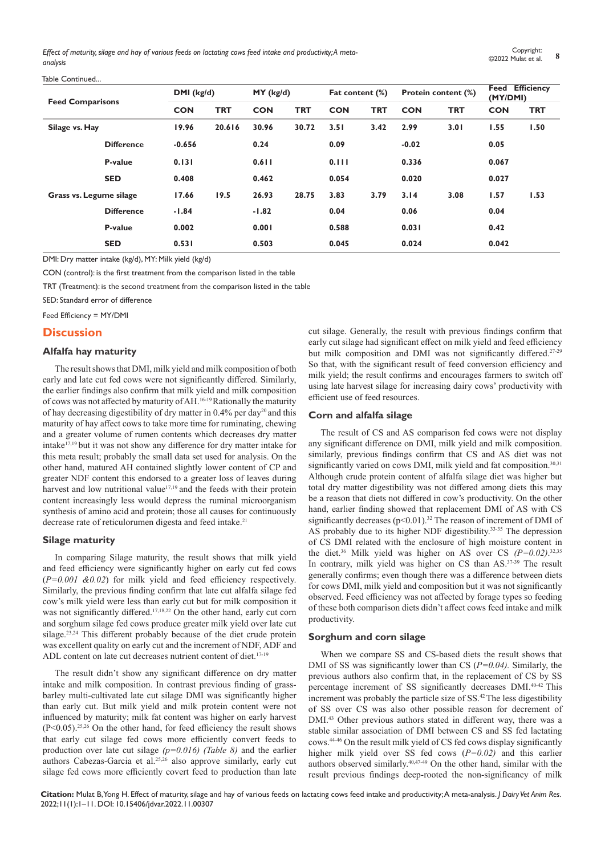| <b>Feed Comparisons</b>                   |                   | DMI (kg/d) |            | MY (kg/d)  |            | Fat content (%) |            | Protein content (%) |            |            | <b>Feed Efficiency</b><br>(MY/DMI) |  |
|-------------------------------------------|-------------------|------------|------------|------------|------------|-----------------|------------|---------------------|------------|------------|------------------------------------|--|
|                                           |                   | <b>CON</b> | <b>TRT</b> | <b>CON</b> | <b>TRT</b> | <b>CON</b>      | <b>TRT</b> | <b>CON</b>          | <b>TRT</b> | <b>CON</b> | <b>TRT</b>                         |  |
| Silage vs. Hay<br>Grass vs. Legume silage |                   | 19.96      | 20.616     | 30.96      | 30.72      | 3.51            | 3.42       | 2.99                | 3.01       | 1.55       | 1.50                               |  |
|                                           | <b>Difference</b> | $-0.656$   |            | 0.24       |            | 0.09            |            | $-0.02$             |            | 0.05       |                                    |  |
|                                           | P-value           | 0.131      |            | 0.611      |            | 0.111           |            | 0.336               |            | 0.067      |                                    |  |
|                                           | <b>SED</b>        | 0.408      |            | 0.462      |            | 0.054           |            | 0.020               |            | 0.027      |                                    |  |
|                                           |                   | 17.66      | 19.5       | 26.93      | 28.75      | 3.83            | 3.79       | 3.14                | 3.08       | 1.57       | 1.53                               |  |
|                                           | <b>Difference</b> | $-1.84$    |            | $-1.82$    |            | 0.04            |            | 0.06                |            | 0.04       |                                    |  |
|                                           | P-value           | 0.002      |            | 0.001      |            | 0.588           |            | 0.031               |            | 0.42       |                                    |  |
|                                           | <b>SED</b>        | 0.531      |            | 0.503      |            | 0.045           |            | 0.024               |            | 0.042      |                                    |  |

DMI: Dry matter intake (kg/d), MY: Milk yield (kg/d)

CON (control): is the first treatment from the comparison listed in the table

TRT (Treatment): is the second treatment from the comparison listed in the table

SED: Standard error of difference

Feed Efficiency = MY/DMI

#### **Discussion**

Table Continued.

#### **Alfalfa hay maturity**

The result shows that DMI, milk yield and milk composition of both early and late cut fed cows were not significantly differed. Similarly, the earlier findings also confirm that milk yield and milk composition of cows was not affected by maturity of AH.16-19 Rationally the maturity of hay decreasing digestibility of dry matter in  $0.4\%$  per day<sup>20</sup> and this maturity of hay affect cows to take more time for ruminating, chewing and a greater volume of rumen contents which decreases dry matter intake17,19 but it was not show any difference for dry matter intake for this meta result; probably the small data set used for analysis. On the other hand, matured AH contained slightly lower content of CP and greater NDF content this endorsed to a greater loss of leaves during harvest and low nutritional value<sup>17,19</sup> and the feeds with their protein content increasingly less would depress the ruminal microorganism synthesis of amino acid and protein; those all causes for continuously decrease rate of reticulorumen digesta and feed intake.<sup>21</sup>

#### **Silage maturity**

In comparing Silage maturity, the result shows that milk yield and feed efficiency were significantly higher on early cut fed cows (*P=0.001 &0.02*) for milk yield and feed efficiency respectively. Similarly, the previous finding confirm that late cut alfalfa silage fed cow's milk yield were less than early cut but for milk composition it was not significantly differed.<sup>17,18,22</sup> On the other hand, early cut corn and sorghum silage fed cows produce greater milk yield over late cut silage.<sup>23,24</sup> This different probably because of the diet crude protein was excellent quality on early cut and the increment of NDF, ADF and ADL content on late cut decreases nutrient content of diet.<sup>17-19</sup>

The result didn't show any significant difference on dry matter intake and milk composition. In contrast previous finding of grassbarley multi-cultivated late cut silage DMI was significantly higher than early cut. But milk yield and milk protein content were not influenced by maturity; milk fat content was higher on early harvest  $(P<0.05)$ <sup>25,26</sup> On the other hand, for feed efficiency the result shows that early cut silage fed cows more efficiently convert feeds to production over late cut silage *(p=0.016) (Table 8)* and the earlier authors Cabezas-Garcia et al.25,26 also approve similarly, early cut silage fed cows more efficiently covert feed to production than late cut silage. Generally, the result with previous findings confirm that early cut silage had significant effect on milk yield and feed efficiency but milk composition and DMI was not significantly differed.<sup>27-29</sup> So that, with the significant result of feed conversion efficiency and milk yield; the result confirms and encourages farmers to switch off using late harvest silage for increasing dairy cows' productivity with efficient use of feed resources.

#### **Corn and alfalfa silage**

The result of CS and AS comparison fed cows were not display any significant difference on DMI, milk yield and milk composition. similarly, previous findings confirm that CS and AS diet was not significantly varied on cows DMI, milk yield and fat composition.<sup>30,31</sup> Although crude protein content of alfalfa silage diet was higher but total dry matter digestibility was not differed among diets this may be a reason that diets not differed in cow's productivity. On the other hand, earlier finding showed that replacement DMI of AS with CS significantly decreases  $(p<0.01)$ .<sup>32</sup> The reason of increment of DMI of AS probably due to its higher NDF digestibility.33-35 The depression of CS DMI related with the enclosure of high moisture content in the diet.<sup>36</sup> Milk yield was higher on AS over CS  $(P=0.02)$ .<sup>32,35</sup> In contrary, milk yield was higher on CS than AS.<sup>37-39</sup> The result generally confirms; even though there was a difference between diets for cows DMI, milk yield and composition but it was not significantly observed. Feed efficiency was not affected by forage types so feeding of these both comparison diets didn't affect cows feed intake and milk productivity.

#### **Sorghum and corn silage**

When we compare SS and CS-based diets the result shows that DMI of SS was significantly lower than CS (*P=0.04).* Similarly, the previous authors also confirm that, in the replacement of CS by SS percentage increment of SS significantly decreases DMI.40-42 This increment was probably the particle size of SS.<sup>42</sup>The less digestibility of SS over CS was also other possible reason for decrement of DMI.<sup>43</sup> Other previous authors stated in different way, there was a stable similar association of DMI between CS and SS fed lactating cows.44-46 On the result milk yield of CS fed cows display significantly higher milk yield over SS fed cows (*P=0.02)* and this earlier authors observed similarly.40,47-49 On the other hand, similar with the result previous findings deep-rooted the non-significancy of milk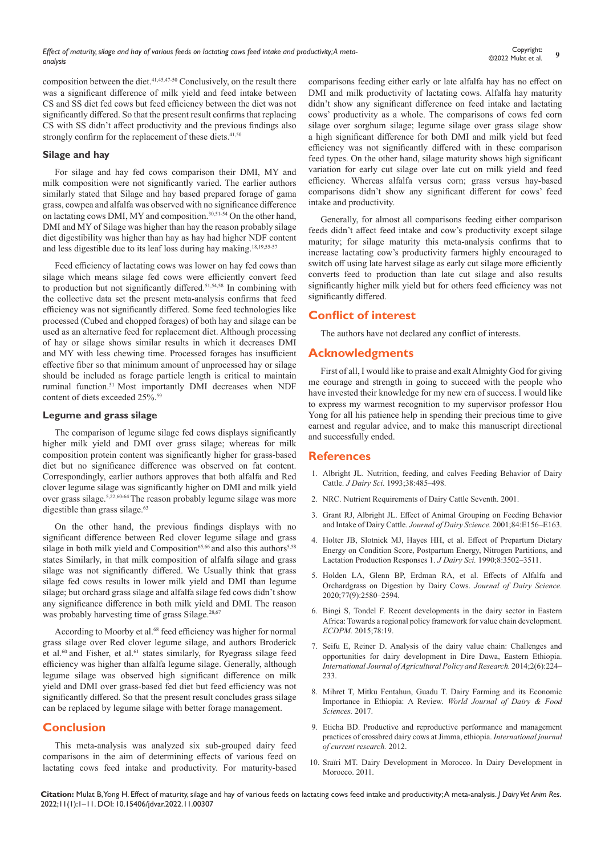composition between the diet.41,45,47-50 Conclusively, on the result there was a significant difference of milk yield and feed intake between CS and SS diet fed cows but feed efficiency between the diet was not significantly differed. So that the present result confirms that replacing CS with SS didn't affect productivity and the previous findings also strongly confirm for the replacement of these diets.<sup>41,50</sup>

#### **Silage and hay**

For silage and hay fed cows comparison their DMI, MY and milk composition were not significantly varied. The earlier authors similarly stated that Silage and hay based prepared forage of gama grass, cowpea and alfalfa was observed with no significance difference on lactating cows DMI, MY and composition.<sup>30,51-54</sup> On the other hand, DMI and MY of Silage was higher than hay the reason probably silage diet digestibility was higher than hay as hay had higher NDF content and less digestible due to its leaf loss during hay making.18,19,55-57

Feed efficiency of lactating cows was lower on hay fed cows than silage which means silage fed cows were efficiently convert feed to production but not significantly differed.<sup>51,54,58</sup> In combining with the collective data set the present meta-analysis confirms that feed efficiency was not significantly differed. Some feed technologies like processed (Cubed and chopped forages) of both hay and silage can be used as an alternative feed for replacement diet. Although processing of hay or silage shows similar results in which it decreases DMI and MY with less chewing time. Processed forages has insufficient effective fiber so that minimum amount of unprocessed hay or silage should be included as forage particle length is critical to maintain ruminal function.<sup>51</sup> Most importantly DMI decreases when NDF content of diets exceeded 25%.<sup>59</sup>

#### **Legume and grass silage**

The comparison of legume silage fed cows displays significantly higher milk yield and DMI over grass silage; whereas for milk composition protein content was significantly higher for grass-based diet but no significance difference was observed on fat content. Correspondingly, earlier authors approves that both alfalfa and Red clover legume silage was significantly higher on DMI and milk yield over grass silage.5,22,60-64 The reason probably legume silage was more digestible than grass silage.<sup>63</sup>

On the other hand, the previous findings displays with no significant difference between Red clover legume silage and grass silage in both milk yield and Composition<sup>65,66</sup> and also this authors<sup>5,58</sup> states Similarly, in that milk composition of alfalfa silage and grass silage was not significantly differed. We Usually think that grass silage fed cows results in lower milk yield and DMI than legume silage; but orchard grass silage and alfalfa silage fed cows didn't show any significance difference in both milk yield and DMI. The reason was probably harvesting time of grass Silage.<sup>28,67</sup>

According to Moorby et al.<sup>68</sup> feed efficiency was higher for normal grass silage over Red clover legume silage, and authors Broderick et al.<sup>60</sup> and Fisher, et al.<sup>61</sup> states similarly, for Ryegrass silage feed efficiency was higher than alfalfa legume silage. Generally, although legume silage was observed high significant difference on milk yield and DMI over grass-based fed diet but feed efficiency was not significantly differed. So that the present result concludes grass silage can be replaced by legume silage with better forage management.

## **Conclusion**

This meta-analysis was analyzed six sub-grouped dairy feed comparisons in the aim of determining effects of various feed on lactating cows feed intake and productivity. For maturity-based comparisons feeding either early or late alfalfa hay has no effect on DMI and milk productivity of lactating cows. Alfalfa hay maturity didn't show any significant difference on feed intake and lactating cows' productivity as a whole. The comparisons of cows fed corn silage over sorghum silage; legume silage over grass silage show a high significant difference for both DMI and milk yield but feed efficiency was not significantly differed with in these comparison feed types. On the other hand, silage maturity shows high significant variation for early cut silage over late cut on milk yield and feed efficiency. Whereas alfalfa versus corn; grass versus hay-based comparisons didn't show any significant different for cows' feed intake and productivity.

Generally, for almost all comparisons feeding either comparison feeds didn't affect feed intake and cow's productivity except silage maturity; for silage maturity this meta-analysis confirms that to increase lactating cow's productivity farmers highly encouraged to switch off using late harvest silage as early cut silage more efficiently converts feed to production than late cut silage and also results significantly higher milk yield but for others feed efficiency was not significantly differed.

# **Conflict of interest**

The authors have not declared any conflict of interests.

# **Acknowledgments**

First of all, I would like to praise and exalt Almighty God for giving me courage and strength in going to succeed with the people who have invested their knowledge for my new era of success. I would like to express my warmest recognition to my supervisor professor Hou Yong for all his patience help in spending their precious time to give earnest and regular advice, and to make this manuscript directional and successfully ended.

# **References**

- 1. [Albright JL. Nutrition, feeding, and calves Feeding Behavior of Dairy](https://www.sciencedirect.com/science/article/pii/S0022030293773695)  Cattle. *J Dairy Sci*[. 1993;38:485–498.](https://www.sciencedirect.com/science/article/pii/S0022030293773695)
- 2. NRC. Nutrient Requirements of Dairy Cattle Seventh. 2001.
- 3. [Grant RJ, Albright JL. Effect of Animal Grouping on Feeding Behavior](https://www.sciencedirect.com/science/article/pii/S002203020170210X)  [and Intake of Dairy Cattle.](https://www.sciencedirect.com/science/article/pii/S002203020170210X) *Journal of Dairy Science.* 2001;84:E156–E163.
- 4. [Holter JB, Slotnick MJ, Hayes HH, et al. Effect of Prepartum Dietary](https://pubmed.ncbi.nlm.nih.gov/2099371/)  [Energy on Condition Score, Postpartum Energy, Nitrogen Partitions, and](https://pubmed.ncbi.nlm.nih.gov/2099371/)  [Lactation Production Responses 1.](https://pubmed.ncbi.nlm.nih.gov/2099371/) *J Dairy Sci.* 1990;8:3502–3511.
- 5. [Holden LA, Glenn BP, Erdman RA, et al. Effects of Alfalfa and](https://pubmed.ncbi.nlm.nih.gov/7814728/)  [Orchardgrass on Digestion by Dairy Cows.](https://pubmed.ncbi.nlm.nih.gov/7814728/) *Journal of Dairy Science.* [2020;77\(9\):2580–2594.](https://pubmed.ncbi.nlm.nih.gov/7814728/)
- 6. [Bingi S, Tondel F. Recent developments in the dairy sector in Eastern](https://ecdpm.org/wp-content/uploads/BN-on-dairy-sector-in-EA_final1.pdf)  [Africa: Towards a regional policy framework for value chain development.](https://ecdpm.org/wp-content/uploads/BN-on-dairy-sector-in-EA_final1.pdf)  *ECDPM.* [2015;78:19.](https://ecdpm.org/wp-content/uploads/BN-on-dairy-sector-in-EA_final1.pdf)
- 7. [Seifu E, Reiner D. Analysis of the dairy value chain: Challenges and](https://www.cabdirect.org/cabdirect/abstract/20143402571)  [opportunities for dairy development in Dire Dawa, Eastern Ethiopia.](https://www.cabdirect.org/cabdirect/abstract/20143402571)  *[International Journal of Agricultural Policy and Research.](https://www.cabdirect.org/cabdirect/abstract/20143402571)* 2014;2(6):224– [233.](https://www.cabdirect.org/cabdirect/abstract/20143402571)
- 8. [Mihret T, Mitku Fentahun, Guadu T. Dairy Farming and its Economic](https://hortintl.cals.ncsu.edu/sites/default/files/documents/6_0.pdf)  [Importance in Ethiopia: A Review.](https://hortintl.cals.ncsu.edu/sites/default/files/documents/6_0.pdf) *World Journal of Dairy & Food [Sciences.](https://hortintl.cals.ncsu.edu/sites/default/files/documents/6_0.pdf)* 2017.
- 9. [Eticha BD. Productive and reproductive performance and management](http://journalcra.com/article/productive-and-reproductive-performance-and-management-practices-crossbreed-dairy-cows-jimma)  [practices of crossbred dairy cows at Jimma, ethiopia.](http://journalcra.com/article/productive-and-reproductive-performance-and-management-practices-crossbreed-dairy-cows-jimma) *International journal [of current research.](http://journalcra.com/article/productive-and-reproductive-performance-and-management-practices-crossbreed-dairy-cows-jimma)* 2012.
- 10. [Sraïri MT. Dairy Development in Morocco. In Dairy Development in](http://www.fao.org/docrep/013/al746e/al746e00.pdf)  [Morocco. 2011.](http://www.fao.org/docrep/013/al746e/al746e00.pdf)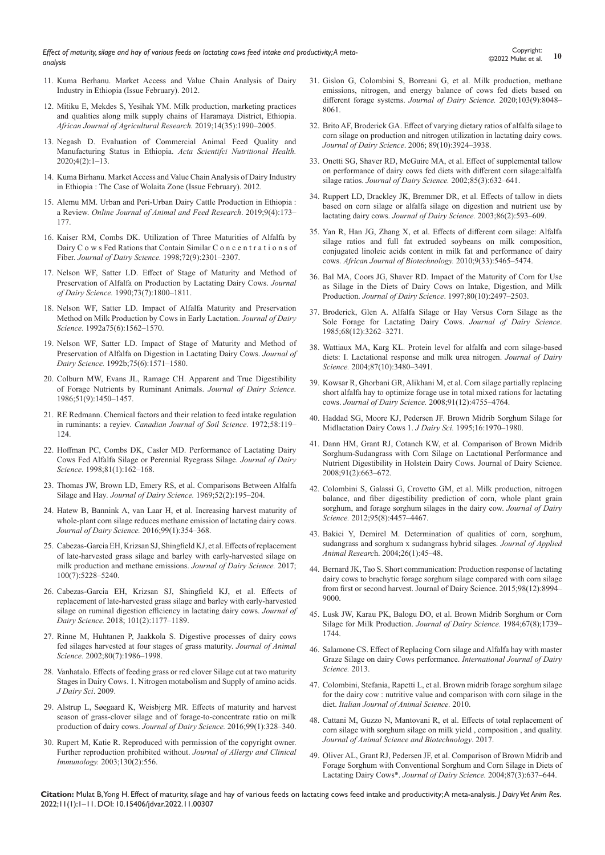- 11. Kuma Berhanu. Market Access and Value Chain Analysis of Dairy Industry in Ethiopia (Issue February). 2012.
- 12. [Mitiku E, Mekdes S, Yesihak YM. Milk production, marketing practices](https://academicjournals.org/journal/AJAR/article-abstract/74DB1A562458)  [and qualities along milk supply chains of Haramaya District, Ethiopia.](https://academicjournals.org/journal/AJAR/article-abstract/74DB1A562458)  *[African Journal of Agricultural Research.](https://academicjournals.org/journal/AJAR/article-abstract/74DB1A562458)* 2019;14(35):1990–2005.
- 13. [Negash D. Evaluation of Commercial Animal Feed Quality and](https://www.actascientific.com/ASNH/pdf/ASNH-04-0607.pdf)  [Manufacturing Status in Ethiopia.](https://www.actascientific.com/ASNH/pdf/ASNH-04-0607.pdf) *Acta Scientifci Nutritional Health.* [2020;4\(2\):1–13.](https://www.actascientific.com/ASNH/pdf/ASNH-04-0607.pdf)
- 14. [Kuma Birhanu. Market Access and Value Chain Analysis of Dairy Industry](https://cgspace.cgiar.org/handle/10568/24943)  in Ethiopia [: The Case of Wolaita Zone \(Issue February\). 2012.](https://cgspace.cgiar.org/handle/10568/24943)
- 15. [Alemu MM. Urban and Peri-Urban Dairy Cattle Production in Ethiopia](https://www.sciencedirect.com/science/article/pii/S0022030293773695) : a Review. *[Online Journal of Animal and Feed Research](https://www.sciencedirect.com/science/article/pii/S0022030293773695)*. 2019;9(4):173– [177.](https://www.sciencedirect.com/science/article/pii/S0022030293773695)
- 16. [Kaiser RM, Combs DK. Utilization of Three Maturities of Alfalfa by](https://pubmed.ncbi.nlm.nih.gov/2556460/)  [Dairy C o w s Fed Rations that Contain Similar C o n c e n t r a t i o n s of](https://pubmed.ncbi.nlm.nih.gov/2556460/)  Fiber. *[Journal of Dairy Science.](https://pubmed.ncbi.nlm.nih.gov/2556460/)* 1998;72(9):2301–2307.
- 17. [Nelson WF, Satter LD. Effect of Stage of Maturity and Method of](https://www.journalofdairyscience.org/article/S0022-0302(90)78860-1/pdf)  [Preservation of Alfalfa on Production by Lactating Dairy Cows.](https://www.journalofdairyscience.org/article/S0022-0302(90)78860-1/pdf) *Journal of Dairy Science.* [1990;73\(7\):1800–1811.](https://www.journalofdairyscience.org/article/S0022-0302(90)78860-1/pdf)
- 18. [Nelson WF, Satter LD. Impact of Alfalfa Maturity and Preservation](https://pubmed.ncbi.nlm.nih.gov/1500557/)  [Method on Milk Production by Cows in Early Lactation.](https://pubmed.ncbi.nlm.nih.gov/1500557/) *Journal of Dairy Science.* [1992a75\(6\):1562–1570.](https://pubmed.ncbi.nlm.nih.gov/1500557/)
- 19. [Nelson WF, Satter LD. Impact of Stage of Maturity and Method of](https://www.journalofdairyscience.org/article/S0022-0302(92)77914-4/pdf)  [Preservation of Alfalfa on Digestion in Lactating Dairy Cows.](https://www.journalofdairyscience.org/article/S0022-0302(92)77914-4/pdf) *Journal of Dairy Science.* [1992b;75\(6\):1571–1580.](https://www.journalofdairyscience.org/article/S0022-0302(92)77914-4/pdf)
- 20. [Colburn MW, Evans JL, Ramage CH. Apparent and True Digestibility](https://www.journalofdairyscience.org/article/S0022-0302(68)87211-X/pdf)  [of Forage Nutrients by Ruminant Animals.](https://www.journalofdairyscience.org/article/S0022-0302(68)87211-X/pdf) *Journal of Dairy Science.*  [1986;51\(9\):1450–1457.](https://www.journalofdairyscience.org/article/S0022-0302(68)87211-X/pdf)
- 21. [RE Redmann. Chemical factors and their relation to feed intake regulation](https://cdnsciencepub.com/doi/abs/10.4141/cjas72-026)  in ruminants: a reyiev. *[Canadian Journal of Soil Science.](https://cdnsciencepub.com/doi/abs/10.4141/cjas72-026)* 1972;58:119– [124.](https://cdnsciencepub.com/doi/abs/10.4141/cjas72-026)
- 22. [Hoffman PC, Combs DK, Casler MD. Performance of Lactating Dairy](https://pubmed.ncbi.nlm.nih.gov/9493091/)  [Cows Fed Alfalfa Silage or Perennial Ryegrass Silage.](https://pubmed.ncbi.nlm.nih.gov/9493091/) *Journal of Dairy Science.* [1998;81\(1\):162–168.](https://pubmed.ncbi.nlm.nih.gov/9493091/)
- 23. [Thomas JW, Brown LD, Emery RS, et al. Comparisons Between Alfalfa](https://www.journalofdairyscience.org/article/S0022-0302(69)86529-X/fulltext)  Silage and Hay*[. Journal of Dairy Science.](https://www.journalofdairyscience.org/article/S0022-0302(69)86529-X/fulltext)* 1969;52(2):195–204.
- 24. [Hatew B, Bannink A, van Laar H, et al. Increasing harvest maturity of](https://www.sciencedirect.com/science/article/pii/S0022030215007663)  [whole-plant corn silage reduces methane emission of lactating dairy cows.](https://www.sciencedirect.com/science/article/pii/S0022030215007663)  *[Journal of Dairy Science.](https://www.sciencedirect.com/science/article/pii/S0022030215007663)* 2016;99(1):354–368.
- 25. [Cabezas-Garcia EH, Krizsan SJ, Shingfield KJ, et al. Effects of replacement](https://www.sciencedirect.com/science/article/pii/S002203021730509X)  [of late-harvested grass silage and barley with early-harvested silage on](https://www.sciencedirect.com/science/article/pii/S002203021730509X)  [milk production and methane emissions.](https://www.sciencedirect.com/science/article/pii/S002203021730509X) *Journal of Dairy Science.* 2017; [100\(7\):5228–5240.](https://www.sciencedirect.com/science/article/pii/S002203021730509X)
- 26. [Cabezas-Garcia EH, Krizsan SJ, Shingfield KJ, et al. Effects of](https://www.sciencedirect.com/science/article/pii/S002203021730509X)  [replacement of late-harvested grass silage and barley with early-harvested](https://www.sciencedirect.com/science/article/pii/S002203021730509X)  [silage on ruminal digestion efficiency in lactating dairy cows.](https://www.sciencedirect.com/science/article/pii/S002203021730509X) *Journal of Dairy Science.* [2018; 101\(2\):1177–1189.](https://www.sciencedirect.com/science/article/pii/S002203021730509X)
- 27. [Rinne M, Huhtanen P, Jaakkola S. Digestive processes of dairy cows](https://pubmed.ncbi.nlm.nih.gov/12162669/)  [fed silages harvested at four stages of grass maturity.](https://pubmed.ncbi.nlm.nih.gov/12162669/) *Journal of Animal Science.* [2002;80\(7\):1986–1998.](https://pubmed.ncbi.nlm.nih.gov/12162669/)
- 28. [Vanhatalo. Effects of feeding grass or red clover Silage cut at two maturity](https://www.sciencedirect.com/science/article/pii/S002203020970894X)  [Stages in Dairy Cows. 1. Nitrogen motabolism and Supply of amino acids.](https://www.sciencedirect.com/science/article/pii/S002203020970894X)  *[J Dairy Sci](https://www.sciencedirect.com/science/article/pii/S002203020970894X)*. 2009.
- 29. [Alstrup L, Søegaard K, Weisbjerg MR. Effects of maturity and harvest](https://www.sciencedirect.com/science/article/pii/S0022030215007614)  [season of grass-clover silage and of forage-to-concentrate ratio on milk](https://www.sciencedirect.com/science/article/pii/S0022030215007614)  [production of dairy cows.](https://www.sciencedirect.com/science/article/pii/S0022030215007614) *Journal of Dairy Science.* 2016;99(1):328–340.
- 30. Rupert M, Katie R. Reproduced with permission of the copyright owner. Further reproduction prohibited without. *Journal of Allergy and Clinical Immunology.* 2003;130(2):556.
- 31. [Gislon G, Colombini S, Borreani G, et al. Milk production, methane](https://www.sciencedirect.com/science/article/pii/S0022030220305038)  [emissions, nitrogen, and energy balance of cows fed diets based on](https://www.sciencedirect.com/science/article/pii/S0022030220305038)  different forage systems. *[Journal of Dairy Science.](https://www.sciencedirect.com/science/article/pii/S0022030220305038)* 2020;103(9):8048– [8061.](https://www.sciencedirect.com/science/article/pii/S0022030220305038)
- 32. [Brito AF, Broderick GA. Effect of varying dietary ratios of alfalfa silage to](https://www.sciencedirect.com/science/article/pii/S0022030206724353)  [corn silage on production and nitrogen utilization in lactating dairy cows.](https://www.sciencedirect.com/science/article/pii/S0022030206724353)  *Journal of Dairy Science*[. 2006; 89\(10\):3924–3938.](https://www.sciencedirect.com/science/article/pii/S0022030206724353)
- 33. [Onetti SG, Shaver RD, McGuire MA, et al. Effect of supplemental tallow](https://pubmed.ncbi.nlm.nih.gov/11949868/)  [on performance of dairy cows fed diets with different corn silage:alfalfa](https://pubmed.ncbi.nlm.nih.gov/11949868/)  silage ratios. *[Journal of Dairy Science.](https://pubmed.ncbi.nlm.nih.gov/11949868/)* 2002;85(3):632–641.
- 34. [Ruppert LD, Drackley JK, Bremmer DR, et al. Effects of tallow in diets](https://pubmed.ncbi.nlm.nih.gov/12647966/)  [based on corn silage or alfalfa silage on digestion and nutrient use by](https://pubmed.ncbi.nlm.nih.gov/12647966/)  lactating dairy cows. *[Journal of Dairy Science.](https://pubmed.ncbi.nlm.nih.gov/12647966/)* 2003;86(2):593–609.
- 35. Yan R, Han JG, Zhang X, et al. Effects of different corn silage: Alfalfa silage ratios and full fat extruded soybeans on milk composition, conjugated linoleic acids content in milk fat and performance of dairy cows. *African Journal of Biotechnology.* 2010;9(33):5465–5474.
- 36. [Bal MA, Coors JG, Shaver RD. Impact of the Maturity of Corn for Use](https://pubmed.ncbi.nlm.nih.gov/9361221/)  [as Silage in the Diets of Dairy Cows on Intake, Digestion, and Milk](https://pubmed.ncbi.nlm.nih.gov/9361221/)  Production. *Journal of Dairy Science*[. 1997;80\(10\):2497–2503.](https://pubmed.ncbi.nlm.nih.gov/9361221/)
- 37. [Broderick, Glen A. Alfalfa Silage or Hay Versus Corn Silage as the](https://www.sciencedirect.com/science/article/pii/S0022030285812352)  [Sole Forage for Lactating Dairy Cows.](https://www.sciencedirect.com/science/article/pii/S0022030285812352) *Journal of Dairy Science*. [1985;68\(12\):3262–3271.](https://www.sciencedirect.com/science/article/pii/S0022030285812352)
- 38. [Wattiaux MA, Karg KL. Protein level for alfalfa and corn silage-based](https://pubmed.ncbi.nlm.nih.gov/15377627/)  [diets: I. Lactational response and milk urea nitrogen.](https://pubmed.ncbi.nlm.nih.gov/15377627/) *Journal of Dairy Science.* [2004;87\(10\):3480–3491.](https://pubmed.ncbi.nlm.nih.gov/15377627/)
- 39. [Kowsar R, Ghorbani GR, Alikhani M, et al. Corn silage partially replacing](https://pubmed.ncbi.nlm.nih.gov/19038951/)  [short alfalfa hay to optimize forage use in total mixed rations for lactating](https://pubmed.ncbi.nlm.nih.gov/19038951/)  cows. *[Journal of Dairy Science.](https://pubmed.ncbi.nlm.nih.gov/19038951/)* 2008;91(12):4755–4764.
- 40. [Haddad SG, Moore KJ, Pedersen JF. Brown Midrib Sorghum Silage for](https://pdf.sciencedirectassets.com/279785/1-s2.0-S0022030295X71886/1-s2.0-S0022030295768230/main.pdf?X-Amz-Security-Token=IQoJb3JpZ2luX2VjEEUaCXVzLWVhc3QtMSJGMEQCIF84%2Fnw719Q9JJPkjV76cwbu88sByYrwMnlKTkYMMEWSAiBoI1TEaS9IOt1vg4IxNjMSQRojp4kDLnE7XnE4r1dIUiq)  [Midlactation Dairy Cows 1.](https://pdf.sciencedirectassets.com/279785/1-s2.0-S0022030295X71886/1-s2.0-S0022030295768230/main.pdf?X-Amz-Security-Token=IQoJb3JpZ2luX2VjEEUaCXVzLWVhc3QtMSJGMEQCIF84%2Fnw719Q9JJPkjV76cwbu88sByYrwMnlKTkYMMEWSAiBoI1TEaS9IOt1vg4IxNjMSQRojp4kDLnE7XnE4r1dIUiq) *J Dairy Sci.* 1995;16:1970–1980.
- 41. [Dann HM, Grant RJ, Cotanch KW, et al. Comparison of Brown Midrib](https://www.sciencedirect.com/science/article/pii/S0022030208714103)  [Sorghum-Sudangrass with Corn Silage on Lactational Performance and](https://www.sciencedirect.com/science/article/pii/S0022030208714103)  [Nutrient Digestibility in Holstein Dairy Cows. Journal of Dairy Science.](https://www.sciencedirect.com/science/article/pii/S0022030208714103)  [2008;91\(2\):663–672.](https://www.sciencedirect.com/science/article/pii/S0022030208714103)
- 42. [Colombini S, Galassi G, Crovetto GM, et al. Milk production, nitrogen](https://www.sciencedirect.com/science/article/pii/S0022030212004353)  [balance, and fiber digestibility prediction of corn, whole plant grain](https://www.sciencedirect.com/science/article/pii/S0022030212004353)  [sorghum, and forage sorghum silages in the dairy cow.](https://www.sciencedirect.com/science/article/pii/S0022030212004353) *Journal of Dairy Science.* [2012;95\(8\):4457–4467.](https://www.sciencedirect.com/science/article/pii/S0022030212004353)
- 43. [Bakici Y, Demirel M. Determination of qualities of corn, sorghum,](https://www.tandfonline.com/doi/abs/10.1080/09712119.2004.9706503)  [sudangrass and sorghum x sudangrass hybrid silages.](https://www.tandfonline.com/doi/abs/10.1080/09712119.2004.9706503) *Journal of Applied Animal Researc*[h. 2004;26\(1\):45–48.](https://www.tandfonline.com/doi/abs/10.1080/09712119.2004.9706503)
- 44. [Bernard JK, Tao S. Short communication: Production response of lactating](https://pubmed.ncbi.nlm.nih.gov/26454290/)  [dairy cows to brachytic forage sorghum silage compared with corn silage](https://pubmed.ncbi.nlm.nih.gov/26454290/)  [from first or second harvest. Journal of Dairy Science. 2015;98\(12\):8994–](https://pubmed.ncbi.nlm.nih.gov/26454290/) [9000.](https://pubmed.ncbi.nlm.nih.gov/26454290/)
- 45. [Lusk JW, Karau PK, Balogu DO, et al. Brown Midrib Sorghum or Corn](https://www.journalofdairyscience.org/article/S0022-0302(84)81499-X/pdf)  [Silage for Milk Production.](https://www.journalofdairyscience.org/article/S0022-0302(84)81499-X/pdf) *Journal of Dairy Science.* 1984;67(8);1739– [1744.](https://www.journalofdairyscience.org/article/S0022-0302(84)81499-X/pdf)
- 46. [Salamone CS. Effect of Replacing Corn silage and Alfalfa hay with master](https://www.cabdirect.org/cabdirect/abstract/20133270481)  [Graze Silage on dairy Cows performance.](https://www.cabdirect.org/cabdirect/abstract/20133270481) *International Journal of Dairy [Science.](https://www.cabdirect.org/cabdirect/abstract/20133270481)* 2013.
- 47. [Colombini, Stefania, Rapetti L, et al. Brown midrib forage sorghum silage](https://www.tandfonline.com/doi/full/10.4081/ijas.2010.e53)  for the dairy cow [: nutritive value and comparison with corn silage in the](https://www.tandfonline.com/doi/full/10.4081/ijas.2010.e53)  diet. *[Italian Journal of Animal Science.](https://www.tandfonline.com/doi/full/10.4081/ijas.2010.e53)* 2010.
- 48. [Cattani M, Guzzo N, Mantovani R, et al. Effects of total replacement of](https://jasbsci.biomedcentral.com/articles/10.1186/s40104-017-0146-8)  [corn silage with sorghum silage on milk yield , composition , and quality.](https://jasbsci.biomedcentral.com/articles/10.1186/s40104-017-0146-8)  *[Journal of Animal Science and Biotechnology](https://jasbsci.biomedcentral.com/articles/10.1186/s40104-017-0146-8)*. 2017.
- 49. [Oliver AL, Grant RJ, Pedersen JF, et al. Comparison of Brown Midrib and](https://www.journalofdairyscience.org/article/S0022-0302(04)73206-3/pdf)  [Forage Sorghum with Conventional Sorghum and Corn Silage in Diets of](https://www.journalofdairyscience.org/article/S0022-0302(04)73206-3/pdf)  Lactating Dairy Cows\*. *[Journal of Dairy Science.](https://www.journalofdairyscience.org/article/S0022-0302(04)73206-3/pdf)* 2004;87(3):637–644.